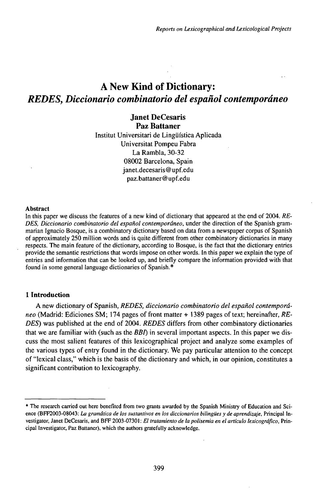# A New Kind of Dictionary: *REDES, Diccionario combinatorio del español contemporáneo*

**Janet DeCesaris Paz Battaner** Institut Universitari de Lingüística Aplicada Universität Pompeu Fabra La Rambla, 30-32 08002 Barcelona, Spain janet.decesaris@upf.edu paz.battaner@upf.edu

#### Abstract

In this paper we discuss the features of a new kind of dictionary that appeared at the end of 2004. *RE-DES, Diccionario combinatorio del español contemporáneo,* under the direction of the Spanish grammarian Ignacio Bosque, is a combinatory dictionary based on data from a newspaper corpus of Spanish of approximately 250 million words and is quite different from other combinatory dictionaries in many respects. The main feature of the dictionary, according to Bosque, is the fact that the dictionary entries provide the semantic restrictions that words impose on other words. In this paper we explain the type of entries and information that can be looked up, and briefly compare the information provided with that found in some general language dictionaries of Spanish.\*

## **1 Introduction**

A new dictionary of Spanish, *REDES, diccionario combinatorio del español contemporáneo* (Madrid: Ediciones SM; 174 pages of front matter + 1389 pages of text; hereinafter, *RE*-*DES)* was published at the end of 2004. *REDES* differs from other combinatory dictionaries that we are familiar with (such as the *BBI*) in several important aspects. In this paper we discuss the most salient features of this lexicographical project and analyze some examples of the various types of entry found in the dictionary. We pay particular attention to the concept of "lexical class," which is the basis of the dictionary and which, in our opinion, constitutes a significant contribution to lexicography.

<sup>\*</sup> The research carried out here benefited from two grants awarded by the Spanish Ministry of Education and Science (BFF2003-08043: *La gramática de los sustantivos en los diccionarios bilingües y de aprendizaje,* Principal Investigator, Janet DeCesaris, and BFF 2003-07301 : *El tratamiento de la polisemia en el artículo lexicográfico,* Principal Investigator, Paz Battaner), which the authors gratefully acknowledge.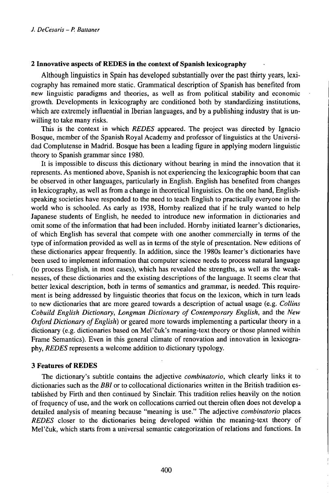# **2 Innovative aspects of REDES in the context of Spanish lexicography**

Although linguistics in Spain has developed substantially over the past thirty years, lexicography has remained more static. Grammatical description of Spanish has benefited from new linguistic paradigms and theories, as well as from political stability and economic growth. Developments in lexicography are conditioned both by standardizing institutions, which are extremely influential in Iberian languages, and by a publishing industry that is unwilling to take many risks.

This is the context in which *REDES* appeared. The project was directed by Ignacio Bosque, member of the Spanish Royal Academy and professor of linguistics at the Universidad Complutense in Madrid. Bosque has been a leading figure in applying modern linguistic theory to Spanish grammar since 1980.

It is impossible to discuss this dictionary without bearing in mind the innovation that it represents. As mentioned above, Spanish is not experiencing the lexicographic boom that can be observed in other languages, particularly in English. English has benefited from changes in lexicography, as well as from a change in theoretical linguistics. On the one hand, Englishspeaking societies have responded to the need to teach English to practically everyone in the world who is schooled. As early as 1938, Hornby realized that if he truly wanted to help Japanese students of English, he needed to introduce new information in dictionaries and omit some of the information that had been included. Hornby initiated learner's dictionaries, of which English has several that compete with one another commercially in terms of the type of information provided as well as in terms of the style of presentation. New editions of these dictionaries appear frequently. In addition, since the 1980s learner's dictionaries have been used to implement information that computer science needs to process natural language (to process English, in most cases), which has revealed the strengths, as well as the weaknesses, of these dictionaries and the existing descriptions of the language. It seems clear that better lexical description, both in terms of semantics and grammar, is needed. This requirement is being addressed by linguistic theories that focus on the lexicon, which in turn leads to new dictionaries that are more geared towards a description of actual usage (e.g. *Collins Cobuild English Dictionary, Longman Dictionary of Contemporary English,* and the *New Oxford Dictionary of English*) or geared more towards implementing a particular theory in a dictionary (e.g. dictionaries based on Meľčuk's meaning-text theory or those planned within Frame Semantics). Even in this general climate of renovation and innovation in lexicography, *REDES* represents a welcome addition to dictionary typology.

## **3 Features of REDES**

The dictionary's subtitle contains the adjective *combinatorio,* which clearly links it to dictionaries such as the *BBI* or to collocational dictionaries written in the British tradition established by Firth and then continued by Sinclair. This tradition relies heavily on the notion of frequency of use, and the work on collocations carried out therein often does not develop a detailed analysis of meaning because "meaning is use." The adjective *combinatorio* places *REDES* closer to the dictionaries being developed within the meaning-text theory of Mel'čuk, which starts from a universal semantic categorization of relations and functions. In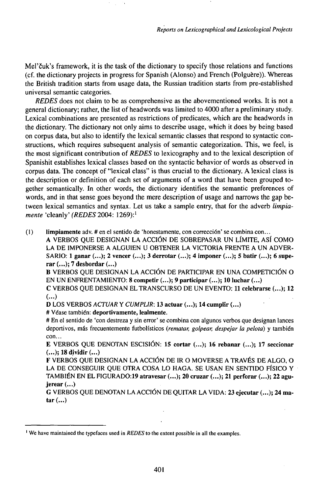Mel'čuk's framework, it is the task of the dictionary to specify those relations and functions (cf. the dictionary projects in progress for Spanish (Alonso) and French (Polguère)). Whereas the British tradition starts from usage data, the Russian tradition starts from pre-established universal semantic categories.

*REDES* does not claim to be as comprehensive as the abovementioned works. It is not a general dictionary; rather, the list of headwords was limited to 4000 after a preliminary study. Lexical combinations are presented as restrictions of predicates, which are the headwords in the dictionary. The dictionary not only aims to describe usage, which it does by being based on corpus data, but also to identify the lexical semantic classes that respond to syntactic constructions, which requires subsequent analysis of semantic categorization. This, we feel, is the most significant contribution of *REDES* to lexicography and to the lexical description of Spanishit establishes lexical classes based on the syntactic behavior of words as observed in corpus data. The concept of "lexical class" is thus crucial to the dictionary. A lexical class is the description or definition of each set of arguments of a word that have been grouped together semantically. In other words, the dictionary identifies the semantic preferences of words, and in that sense goes beyond the mere description of usage and narrows the gap between lexical semantics and syntax. Let us take a sample entry, that for the adverb *limpiamente* 'cleanly' (REDES 2004: 1269):<sup>1</sup>

(1) limpiamente adv. # en el sentido de 'honestamente, con corrección' se combina con... A VERBOS QUE DESIGNAN LA ACCIÓN DE SOBREPASAR UN LÍMITE, ASÍ COMO LA DE IMPONERSE A ALGUIEN U OBTENER LA VICTORIA FRENTE A UN ADVER-SARIO: 1 ganar (...); 2 vencer (...); 3 derrotar (...); 4 imponer (...); 5 batir (...); 6 superar (...); 7 desbordar (...)

<sup>B</sup> VERBOS QUE DESIGNAN LA ACCIÓN DE PARTICIPAR EN UNA COMPETICIÓN 0 EN UN ENFRENTAMIENTO: 8 competir (...); 9 participar (...); 10 luchar (...)

C VERBOS QUE DESIGNAN ELTRANSCURSO DE UN EVENTO: 11 celebrarse (...); 12 (...)

D LOS VERBOS *ACTUAR* Y *CUMPLIR:* 13 actuar (...); 14 cumplir (...)

# Véase también: deportivamente, lealmente.

# En el sentido de 'con destreza y sin error' se combina con algunos verbos que designan lances deportivos, más frecuentemente futbolísticos *(rematar, golpear, despejar la pelota)* y también con...

E VERBOS QUE DENOTAN ESCISIÓN: 15 cortar (...); 16 rebanar (...); 17 seccionar (...);18dividir(...)

F VERBÒS QUE DESIGNAN LA ACCIÓN DE IR <sup>O</sup> MOVERSE <sup>A</sup> TRAVÉS DE ALGO, 0 LA DE CONSEGUIR QUE OTRA COSA LO HAGA. SE USAN EN SENTIDO FÍSICO Y TAMBIÉN EN EL FIGURADO:19 atravesar (...); 20 cruzar (...); 21 perforar (...); 22 agujerear(...)

G VERBOS QUE DENOTAN LAACCIÓN DE QUITAR LA VIDA: 23 ejecutar (...); 24 matar(...)

<sup>1</sup> We have maintained the typefaces used in *REDES* to the extent possible in all the examples.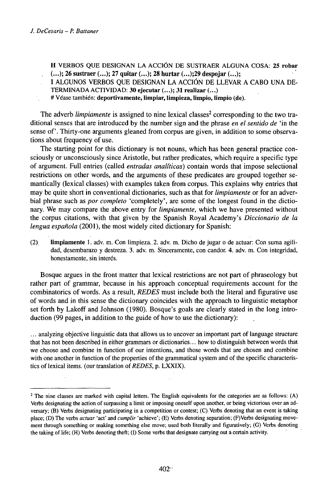H VERBOS QUE DESIGNAN LA ACCIÓN DE SUSTRAER ALGUNA COSA: **25 robar (...); 26 sustraer (...); 27 quitar (...); 28 hurtar** (...);29 despojar (...);

- I ALGUNOS VERBOS QUE DESIGNAN LA ACCIÓN DE LLEVAR A CABO UNA DE-TERMINADA ACTIVIDAD: 30 ejecutar (...); 31 realizar (...)
- # Véase también: deportivamente, limpiar, limpieza, limpio, limpio (de).

The adverb *limpiamente* is assigned to nine lexical classes<sup>2</sup> corresponding to the two traditional senses that are introduced by the number sign and the phrase *en el sentido de* 'in the sense of'. Thirty-one arguments gleaned from corpus are given, in addition to some observations about frequency of use.

The starting point for this dictionary is not nouns, which has been general practice consciously or unconsciously since Aristotle, but rather predicates, which require a specific type of argument. Full entries (called *entradas analíticas)* contain words that impose selectional restrictions on other words, and the arguments of these predicates are grouped together semantically (lexical classes) with examples taken from corpus. This explains why entries that may be quite short in conventional dictionaries, such as that for *limpiamente* or for an adverbial phrase such as *por completo* 'completely', are some of the longest found in the dictionary. We may compare the above entry for *limpiamente,* which we have presented without the corpus citations, with that given by the Spanish Royal Academy's *Diccionario de la lengua española* (2001), the most widely cited dictionary for Spanish:

(2) Umpiamente 1. adv. m. Con limpieza.2. adv. m. Dicho dejugar o de actuar: Con suma agilidad, desembarazo y destreza. 3. adv. m. Sinceramente, con candor. 4. adv. m. Con integridad, honestamente, sin interés.

Bosque argues in the front matter that lexical restrictions are not part of phraseology but rather part of grammar, because in his approach conceptual requirements account for the combinatorics of words. As a result, *REDES* must include both the literal and figurative use of words and in this sense the dictionary coincides with the approach to linguistic metaphor set forth by Lakoff and Johnson (1980). Bosque's goals are clearly stated in the long introduction (99 pages, in addition to the guide of how to use the dictionary):

... analyzing objective linguistic data that allows us to uncover an important part of language structure that has not been described in either grammars or dictionaries... how to distinguish between words that we choose and combine in function of our intentions, and those words that are chosen and combine with one another in function of the properties of the grammatical system and of the specific characteristics of lexical items. (our translation of *REDES*, p. LXXIX).

<sup>&</sup>lt;sup>2</sup> The nine classes are marked with capital letters. The English equivalents for the categories are as follows: (A) Verbs designating the action of surpassing a limit or imposing oneself upon another, or béing victorious over an adversary; (B) Verbs designating participating in a competition or contest; (C) Verbs denoting that an event is taking place; (D) The verbs *actuar* 'act' and *cumplir* 'achieve'; (E) Verbs denoting separation; (F)Verbs designating movement through something or making something else move; used both literally and figuratively; (G) Verbs denoting the taking of life; (H) Verbs denoting theft; (I) Some verbs that designate carrying out a certain activity.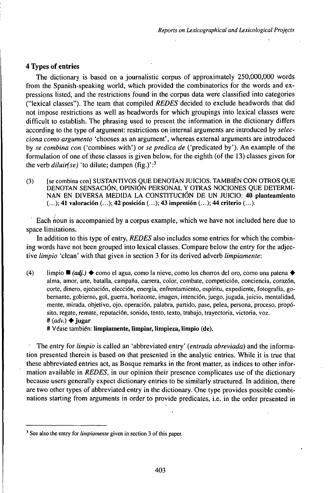## **4 Types of entries**

The dictionary is based on a journalistic corpus of approximately 250,000,000 words from the Spanish-speaking world, which provided the combinatorics for the words and expressions listed, and the restrictions found in the corpus data were classified into categories ("lexical classes"). The team that compiled *REDES* decided to exclude headwords that did not impose restrictions as well as headwords for which groupings into lexical classes were difficult to establish. The phrasing used to present the information in the dictionary differs according to the type of argument: restrictions on internal arguments are introduced by *selecciona como argumento* 'chooses as an argument', whereas external arguments are introduced by *se combina con* ('combines with') or *se predica de* ('predicated by'). An example of the formulation of one of these classes is given below, for the eighth (of the 13) classes given for the verb *diluir(se)* 'to dilute; dampen (fig.)':<sup>3</sup>

(3) [se combina con] SUSTANTIVOS QUE DENOTAN JUICIOS. TAMBIÉN CON OTROS QUE DENOTAN SENSACIÓN, OPINIÓN PERSONAL Y OTRAS NOCIONES QUE DETERMI-NAN EN DIVERSA MEDIDA LA CONSTITUCIÓN DE UN JUICIO: 40 **planteamiento** (...); 41 **valoración** (...); 42 **posición** (...); 43 **impresión** (...); 44 criterio (...).

Each noun is accompanied by a corpus example, which we have not included here due to space limitations.

In addition to this type of entry, *REDES* also includes some entries for which the combining words have not been grouped into lexical classes. Compare below the entry for the adjective *limpio* 'clean' with that given in section 3 for its derived adverb *limpiamente:*

(4) limpio  $\blacksquare$  (*adj.*)  $\blacklozenge$  como el agua, como la nieve, como los chorros del oro, como una patena  $\blacklozenge$ alma, amor, arte, batalla, campaña, carrera, color, combate, competición, conciencia, corazón, corte, dinero, ejecución, elección, energía, enfrentamiento, espíritu, expediente, fotografía, gobernante, gobierno, gol, guerra, horizonte, imagen, intención, juego, jugada, juicio, mentalidad, mente, mirada, objetivo, ojo, operación, palabra, partido, pase, pelea, persona, proceso, propósito, regate, remate, reputación, sonido, tento, texto, trabajo, trayectoria, victoria, voz.  $#(adv.) \triangleq i \text{ugar}$ 

# Véase también: **limpiamente, limpiar, limpieza, limpio (de).**

The entry for *limpio* is called an 'abbreviated entry' *(entrada abreviada)* and the information presented therein is based on that presented in the analytic entries. While it is true that these abbreviated entries act, as Bosque remarks iri the front matter, as indices to other information available in *REDES,* in our opinion their presence complicates use of the dictionary because users generally expect dictionary entries to be similarly structured. In addition, there are two other types of abbreviated entry in the dictionary. One type provides possible combinations starting from arguments in order to provide predicates, i.e. in the order presented in

<sup>&</sup>lt;sup>3</sup> See also the entry for *limpiamente* given in section 3 of this paper.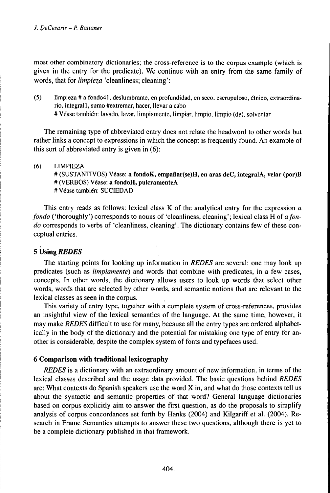most other combinatory dictionaries; the cross-reference is to the corpus example (which is given in the entry for the predicate). We continue with an entry from the same family of words, that for *limpieza* 'cleanliness; cleaning' :

(5) limpieza # a fondo41, deslumbrante, en profundidad, en seco, escrupuloso, étnico, extraordinario, integrali, sumo #extremar, hacer, llevar a cabo #Véase también: lavado, lavar, limpiamente, limpiar, limpio, limpio (de), solventar

The remaining type of abbreviated entry does not relate the headword to other words but rather links a concept to expressions in which the concept is frequently found. An example of this sort of abbreviated entry is given in (6):

#### (6) LIMPIEZA

# (SUSTANTIVOS) Véase: **a fondoK, empanar(se)H, en aras deC, integralA, velar (por)B** # (VERBOS) Véase: **a fondoH, pulcramenteA** # Véase también: SUCIEDAD

This entry reads as follows: lexical class K of the analytical entry for the expression *a fondo* ('thoroughly') corresponds to nouns of 'cleanliness, cleaning'; lexical class H of a fon*do* corresponds to verbs of 'cleanliness, cleaning'. The dictionary contains few of these conceptual entries.

## 5 Using *REDES*

The starting points for looking up information in *REDES* are several: one may look up predicates (such as *limpiamente)* and words that combine with predicates, in a few cases, concepts. In other words, the dictionary allows users to look up words that select other words, words that are selected by other words, and semantic notions that are relevant to the lexical classes as seen in the corpus.

This variety of entry type, together with a complete system of cross-references, provides an insightful view of the lexical semantics of the language. At the same time, however, it may make *REDES* difficult to use for many, because all the entry types are ordered alphabetically in the body of the dictionary and the potential for mistaking one type of entry for another is considerable, despite the complex system of fonts and typefaces used.

## **6 Comparison with traditional lexicography**

*REDES* is a dictionary with an extraordinary amount of new information, in terms of the lexical classes described and the usage data provided. The basic questions behind *REDES* are: What contexts do Spanish speakers use the word  $X$  in, and what do those contexts tell us about the syntactic and semantic properties of that word? General language dictionaries based on corpus explicitly aim to answer the first question, as do the proposals to simplify analysis of corpus concordances set forth by Hanks (2004) and Kilgariff et al. (2004). Research in Frame Semantics attempts to answer these two questions, although there is yet to be a complete dictionary published in that framework.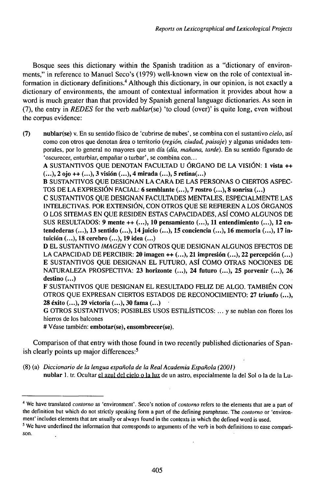Bosque sees this dictionary within the Spanish tradition as a "dictionary of environments," in reference to Manuel Seco's (1979) well-known view on the role of contextual information in dictionary definitions.<sup>4</sup> Although this dictionary, in our opinion, is not exactly a dictionary of environments, the amount of contextual information it provides about how a word is much greater than that provided by Spanish general language dictionaries. As seen in (7), the entry in *REDES* for the verb *nublarisé)* 'to cloud (over)' is quite long, even without the corpus evidence:

**(7) nublar(se)** v. En su sentido físico de 'cubrirse de nubes', se combina con el sustantivo *cielo,* así como con otros que denotan área o territorio *{región, ciudad, paisaje)* y algunas unidades temporales, por lo general no mayores que un día *(día, mañana, tardé).* En su sentido figurado de 'oscurecer, enturbiar, empañar <sup>o</sup> turbar', se combina con...

A SUSTANTIVOS QUE DENOTAN FACULTAD U ÓRGANO DE LA VISIÓN: **1 vista ++** (...), **2 ojo ++** (...), **3 visión** (...), **4 mirada (...), 5 retina(...)**

**B** SUSTANTIVOS QUE DESIGNAN LA CARA DE LAS PERSONAS O CIERTOS ASPEC-TOS DE LA EXPRESIÓN FACIAL: **6 semblante (...), 7 rostro** (...), **8 sonrisa** (...)

**C** SUSTANTIVOS QUE DESIGNAN FACULTADES MENTALES, ESPECIALMENTE LAS INTELECTIVAS. POR EXTENSIÓN, CON OTROS QUE SE REHEREN A LOS ÓRGANOS 0 LOS SITEMAS EN QUE RESIDEN ESTAS CAPACIDADES, ASÍ COMO ALGUNOS DE SUS RESULTADOS: **9 mente ++ (...), 10 pensamiento (...), 11 entendimiento (...), 12 entendederas (...), 13 sentido (...), 14juicio (...), 15 conciencia (...), 16 memoria (...), 17 intuición** (...), **18 cerebro** (...), **19 idea** (...)

**D** EL SUSTANTIVO *IMAGENY* CON OTROS QUE DESIGNAN ALGUNOS EFECTOS DE LA CAPACIDAD DE PERCIBIR: **20 imagen ++** (...), **21 impresión** (...), **22 percepción** (...) **E** SUSTANTIVOS QUE DESIGNAN EL FUTURO, ASÍ COMO OTRAS NOCIONES DE NATURALEZA PROSPECTIVA: **23 horizonte (...), 24 futuro** (...), **25 porvenir** (...), **26 destino** (...)

**F** SUSTANTIVOS QUE DESIGNAN EL RESULTADO FELIZ DE ALGO. TAMBIÉN CON OTROS QUE EXPRESAN CIERTOS ESTADOS DE RECONOCIMIENTO: **27 triunfo (...), 28 éxito (...), 29 victoria (...), 30 fama** (...)

**G** OTROS SUSTANTIVOS; POSIBLES USOS ESTILÍSTICOS: ... y se nublan con flores los hierros de los balcones

# Véase también: embotar(se), ensombrecer(se).

Comparison of that entry with those found in two recently published dictionaries of Spanish clearly points up major differences:<sup>5</sup>

(8) (a) *Diccionario de la lengua española de la RealAcademia Española (2001)* **nublar** 1. tr. Ocultar el azul del cielo <sup>o</sup> la luz de un astro, especialmente la del Sol <sup>o</sup> la de la Lu-

<sup>4</sup> We have translated *contorno* as 'environment'. Seco's notion of *contorno* refers to the elements that are a part of the definition but which do not strictly speaking form a part of the defining paraphrase. The *contorno* or 'environment' includes elements that are usually or always found in the contexts in which the defined word is used.

<sup>&</sup>lt;sup>5</sup> We have underlined the information that corresponds to arguments of the verb in both definitions to ease comparison.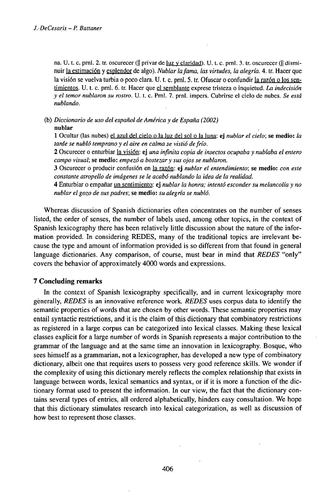na. U. t. c. prnl. 2. tr. oscurecer ( $\parallel$  privar de <u>luz y claridad</u>). U. t. c. prnl. 3. tr. oscurecer ( $\parallel$  disminuir la estimación y esplendor de algo). *Nublar lafama, las virtudes, la alegría.* 4. tr. Hacer que la visión se vuelva turbia o poco clara. U. t. c. prnl. 5. tr. Ofuscar o confundir la razón o los sentimientos. U. t. c. prnl. 6. tr. Hacer que el semblante exprese tristeza o inquietud. *La indecisión y el temor nublaron su rostro.* U. t. c. Prnl. 7. prnl. impers. Cubrirse el cielo de nubes. *Se está nublando.*

(b) *Diccionario de uso del español de América y de España (2002)*

**nublar**

**1** Ocultar (las nubes) el azul del cielo o la luz del sol o la luna: ej *nublar el cielo;* **se medio:** *la tarde se nubló temprano y el aire en calma se vistió defrío.*

2 Oscurecer o enturbiar la visión: ej *una infinita copia de insectos ocupaba y nublaba el entero campo visual;* se **medio:** *empezó a bostezar y sus ojos se nublaron.*

3 Oscurecer o producir confusión en la razón: ej *nublar el entendimiento;* se **medio:** *con este constante atropello de imágenes se le acabó nublando la idea de la realidad.*

4 Enturbiar o empañar un sentimiento: ej *nublar la honra; intentó esconder su melancolía y no nublar el gozo de sus padres;* se **medio:** *su alegría se nubló.*

Whereas discussion of Spanish dictionaries often concentrates on the number of senses listed, the order of senses, the number of labels used, among other topics, in the context of Spanish lexicography there has been relatively little discussion about the nature of the information provided. In considering REDES, many of the traditional topics are irrelevant because the type and amount of information provided is so different from that found in general language dictionaries. Any comparison, of course, must bear in mind that *REDES* "only" covers the behavior of approximately 4000 words and expressions.

### **7 Concluding remarks**

In the context of Spanish lexicography specifically, and in current lexicography more generally, *REDES* is an innovative reference work. *REDES* uses corpus data to identify the semantic properties of words that are chosen by other words. These semantic properties may entail syntactic restrictions, and it is the claim of this dictionary that combinatory restrictions as registered in a large corpus can be categorized into lexical classes. Making these lexical classes explicit for a large number of words in Spanish represents a major contribution to the grammar of the language and at the same time an innovation in lexicography. Bosque, who sees himself as a grammarian, not a lexicographer, has developed a new type of combinatory dictionary, albeit one that requires users to possess very good reference skills. We wonder if the complexity of using this dictionary merely reflects the complex relationship that exists in language between words, lexical semantics and syntax, or if it is more a function of the dictionary format used to present the information. In our view, the fact that the dictionary contains several types of entries, all ordered alphabetically, hinders easy consultation. We hope that this dictionary stimulates research into lexical categorization, as well as discussion of how best to represent those classes.